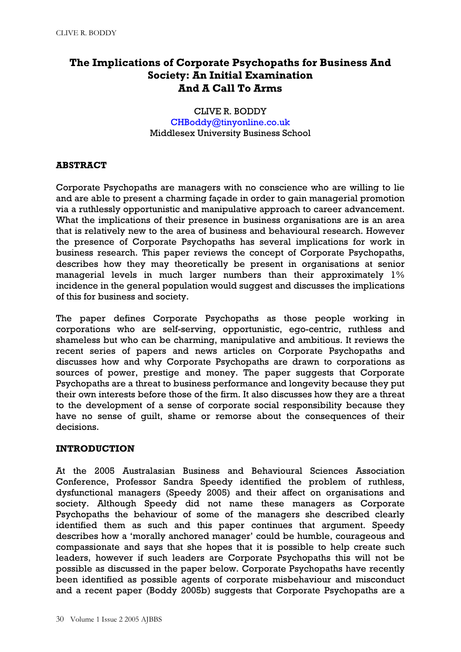# **The Implications of Corporate Psychopaths for Business And Society: An Initial Examination And A Call To Arms**

#### CLIVE R. BODDY CHBoddy@tinyonline.co.uk Middlesex University Business School

## **ABSTRACT**

Corporate Psychopaths are managers with no conscience who are willing to lie and are able to present a charming façade in order to gain managerial promotion via a ruthlessly opportunistic and manipulative approach to career advancement. What the implications of their presence in business organisations are is an area that is relatively new to the area of business and behavioural research. However the presence of Corporate Psychopaths has several implications for work in business research. This paper reviews the concept of Corporate Psychopaths, describes how they may theoretically be present in organisations at senior managerial levels in much larger numbers than their approximately 1% incidence in the general population would suggest and discusses the implications of this for business and society.

The paper defines Corporate Psychopaths as those people working in corporations who are self-serving, opportunistic, ego-centric, ruthless and shameless but who can be charming, manipulative and ambitious. It reviews the recent series of papers and news articles on Corporate Psychopaths and discusses how and why Corporate Psychopaths are drawn to corporations as sources of power, prestige and money. The paper suggests that Corporate Psychopaths are a threat to business performance and longevity because they put their own interests before those of the firm. It also discusses how they are a threat to the development of a sense of corporate social responsibility because they have no sense of guilt, shame or remorse about the consequences of their decisions.

#### **INTRODUCTION**

At the 2005 Australasian Business and Behavioural Sciences Association Conference, Professor Sandra Speedy identified the problem of ruthless, dysfunctional managers (Speedy 2005) and their affect on organisations and society. Although Speedy did not name these managers as Corporate Psychopaths the behaviour of some of the managers she described clearly identified them as such and this paper continues that argument. Speedy describes how a 'morally anchored manager' could be humble, courageous and compassionate and says that she hopes that it is possible to help create such leaders, however if such leaders are Corporate Psychopaths this will not be possible as discussed in the paper below. Corporate Psychopaths have recently been identified as possible agents of corporate misbehaviour and misconduct and a recent paper (Boddy 2005b) suggests that Corporate Psychopaths are a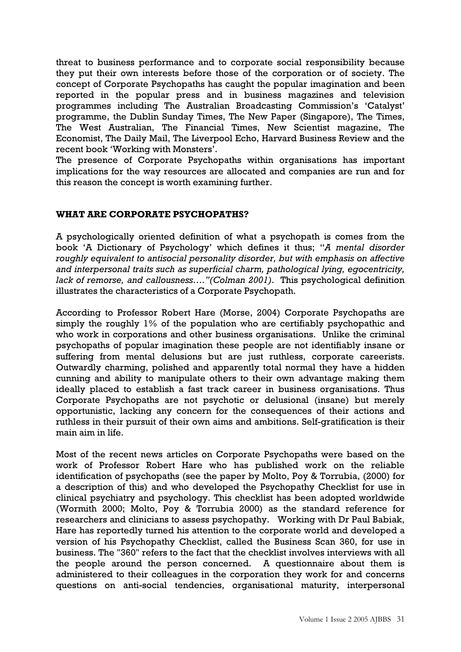threat to business performance and to corporate social responsibility because they put their own interests before those of the corporation or of society. The concept of Corporate Psychopaths has caught the popular imagination and been reported in the popular press and in business magazines and television programmes including The Australian Broadcasting Commission's 'Catalyst' programme, the Dublin Sunday Times, The New Paper (Singapore), The Times, The West Australian, The Financial Times, New Scientist magazine, The Economist, The Daily Mail, The Liverpool Echo, Harvard Business Review and the recent book 'Working with Monsters'.

The presence of Corporate Psychopaths within organisations has important implications for the way resources are allocated and companies are run and for this reason the concept is worth examining further.

## **WHAT ARE CORPORATE PSYCHOPATHS?**

A psychologically oriented definition of what a psychopath is comes from the book 'A Dictionary of Psychology' which defines it thus; "*A mental disorder roughly equivalent to antisocial personality disorder, but with emphasis on affective and interpersonal traits such as superficial charm, pathological lying, egocentricity, lack of remorse, and callousness…."(Colman 2001)*. This psychological definition illustrates the characteristics of a Corporate Psychopath.

According to Professor Robert Hare (Morse, 2004) Corporate Psychopaths are simply the roughly 1% of the population who are certifiably psychopathic and who work in corporations and other business organisations. Unlike the criminal psychopaths of popular imagination these people are not identifiably insane or suffering from mental delusions but are just ruthless, corporate careerists. Outwardly charming, polished and apparently total normal they have a hidden cunning and ability to manipulate others to their own advantage making them ideally placed to establish a fast track career in business organisations. Thus Corporate Psychopaths are not psychotic or delusional (insane) but merely opportunistic, lacking any concern for the consequences of their actions and ruthless in their pursuit of their own aims and ambitions. Self-gratification is their main aim in life.

Most of the recent news articles on Corporate Psychopaths were based on the work of Professor Robert Hare who has published work on the reliable identification of psychopaths (see the paper by Molto, Poy & Torrubia, (2000) for a description of this) and who developed the Psychopathy Checklist for use in clinical psychiatry and psychology. This checklist has been adopted worldwide (Wormith 2000; Molto, Poy & Torrubia 2000) as the standard reference for researchers and clinicians to assess psychopathy. Working with Dr Paul Babiak, Hare has reportedly turned his attention to the corporate world and developed a version of his Psychopathy Checklist, called the Business Scan 360, for use in business. The "360" refers to the fact that the checklist involves interviews with all the people around the person concerned. A questionnaire about them is administered to their colleagues in the corporation they work for and concerns questions on anti-social tendencies, organisational maturity, interpersonal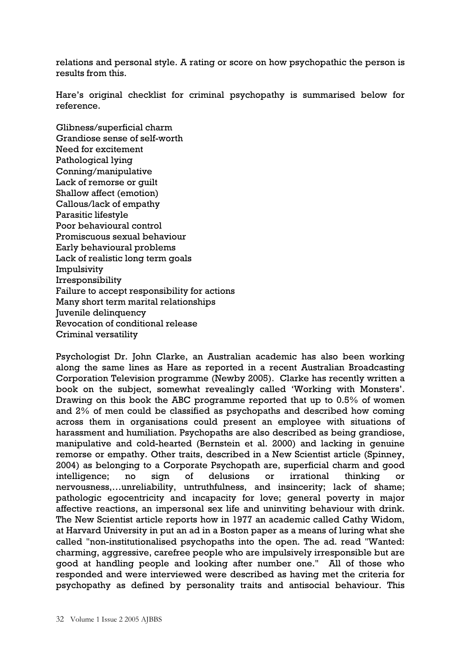relations and personal style. A rating or score on how psychopathic the person is results from this.

Hare's original checklist for criminal psychopathy is summarised below for reference.

Glibness/superficial charm Grandiose sense of self-worth Need for excitement Pathological lying Conning/manipulative Lack of remorse or guilt Shallow affect (emotion) Callous/lack of empathy Parasitic lifestyle Poor behavioural control Promiscuous sexual behaviour Early behavioural problems Lack of realistic long term goals Impulsivity Irresponsibility Failure to accept responsibility for actions Many short term marital relationships Juvenile delinquency Revocation of conditional release Criminal versatility

Psychologist Dr. John Clarke, an Australian academic has also been working along the same lines as Hare as reported in a recent Australian Broadcasting Corporation Television programme (Newby 2005). Clarke has recently written a book on the subject, somewhat revealingly called 'Working with Monsters'. Drawing on this book the ABC programme reported that up to 0.5% of women and 2% of men could be classified as psychopaths and described how coming across them in organisations could present an employee with situations of harassment and humiliation. Psychopaths are also described as being grandiose, manipulative and cold-hearted (Bernstein et al. 2000) and lacking in genuine remorse or empathy. Other traits, described in a New Scientist article (Spinney, 2004) as belonging to a Corporate Psychopath are, superficial charm and good intelligence; no sign of delusions or irrational thinking or nervousness,…unreliability, untruthfulness, and insincerity; lack of shame; pathologic egocentricity and incapacity for love; general poverty in major affective reactions, an impersonal sex life and uninviting behaviour with drink. The New Scientist article reports how in 1977 an academic called Cathy Widom, at Harvard University in put an ad in a Boston paper as a means of luring what she called "non-institutionalised psychopaths into the open. The ad. read "Wanted: charming, aggressive, carefree people who are impulsively irresponsible but are good at handling people and looking after number one." All of those who responded and were interviewed were described as having met the criteria for psychopathy as defined by personality traits and antisocial behaviour. This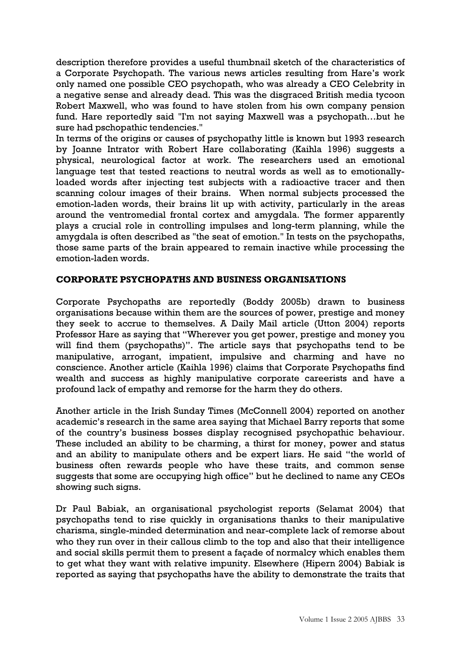description therefore provides a useful thumbnail sketch of the characteristics of a Corporate Psychopath. The various news articles resulting from Hare's work only named one possible CEO psychopath, who was already a CEO Celebrity in a negative sense and already dead. This was the disgraced British media tycoon Robert Maxwell, who was found to have stolen from his own company pension fund. Hare reportedly said "I'm not saying Maxwell was a psychopath…but he sure had pschopathic tendencies."

In terms of the origins or causes of psychopathy little is known but 1993 research by Joanne Intrator with Robert Hare collaborating (Kaihla 1996) suggests a physical, neurological factor at work. The researchers used an emotional language test that tested reactions to neutral words as well as to emotionallyloaded words after injecting test subjects with a radioactive tracer and then scanning colour images of their brains. When normal subjects processed the emotion-laden words, their brains lit up with activity, particularly in the areas around the ventromedial frontal cortex and amygdala. The former apparently plays a crucial role in controlling impulses and long-term planning, while the amygdala is often described as "the seat of emotion." In tests on the psychopaths, those same parts of the brain appeared to remain inactive while processing the emotion-laden words.

# **CORPORATE PSYCHOPATHS AND BUSINESS ORGANISATIONS**

Corporate Psychopaths are reportedly (Boddy 2005b) drawn to business organisations because within them are the sources of power, prestige and money they seek to accrue to themselves. A Daily Mail article (Utton 2004) reports Professor Hare as saying that "Wherever you get power, prestige and money you will find them (psychopaths)". The article says that psychopaths tend to be manipulative, arrogant, impatient, impulsive and charming and have no conscience. Another article (Kaihla 1996) claims that Corporate Psychopaths find wealth and success as highly manipulative corporate careerists and have a profound lack of empathy and remorse for the harm they do others.

Another article in the Irish Sunday Times (McConnell 2004) reported on another academic's research in the same area saying that Michael Barry reports that some of the country's business bosses display recognised psychopathic behaviour. These included an ability to be charming, a thirst for money, power and status and an ability to manipulate others and be expert liars. He said "the world of business often rewards people who have these traits, and common sense suggests that some are occupying high office" but he declined to name any CEOs showing such signs.

Dr Paul Babiak, an organisational psychologist reports (Selamat 2004) that psychopaths tend to rise quickly in organisations thanks to their manipulative charisma, single-minded determination and near-complete lack of remorse about who they run over in their callous climb to the top and also that their intelligence and social skills permit them to present a façade of normalcy which enables them to get what they want with relative impunity. Elsewhere (Hipern 2004) Babiak is reported as saying that psychopaths have the ability to demonstrate the traits that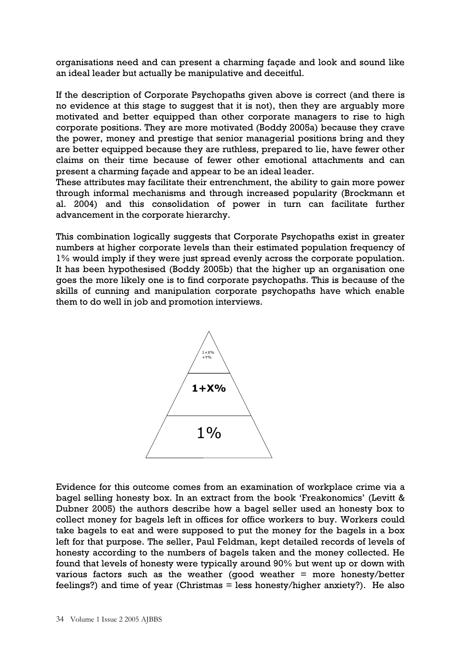organisations need and can present a charming façade and look and sound like an ideal leader but actually be manipulative and deceitful.

If the description of Corporate Psychopaths given above is correct (and there is no evidence at this stage to suggest that it is not), then they are arguably more motivated and better equipped than other corporate managers to rise to high corporate positions. They are more motivated (Boddy 2005a) because they crave the power, money and prestige that senior managerial positions bring and they are better equipped because they are ruthless, prepared to lie, have fewer other claims on their time because of fewer other emotional attachments and can present a charming façade and appear to be an ideal leader.

These attributes may facilitate their entrenchment, the ability to gain more power through informal mechanisms and through increased popularity (Brockmann et al. 2004) and this consolidation of power in turn can facilitate further advancement in the corporate hierarchy.

This combination logically suggests that Corporate Psychopaths exist in greater numbers at higher corporate levels than their estimated population frequency of 1% would imply if they were just spread evenly across the corporate population. It has been hypothesised (Boddy 2005b) that the higher up an organisation one goes the more likely one is to find corporate psychopaths. This is because of the skills of cunning and manipulation corporate psychopaths have which enable them to do well in job and promotion interviews.



Evidence for this outcome comes from an examination of workplace crime via a bagel selling honesty box. In an extract from the book 'Freakonomics' (Levitt & Dubner 2005) the authors describe how a bagel seller used an honesty box to collect money for bagels left in offices for office workers to buy. Workers could take bagels to eat and were supposed to put the money for the bagels in a box left for that purpose. The seller, Paul Feldman, kept detailed records of levels of honesty according to the numbers of bagels taken and the money collected. He found that levels of honesty were typically around 90% but went up or down with various factors such as the weather (good weather  $=$  more honesty/better feelings?) and time of year (Christmas = less honesty/higher anxiety?). He also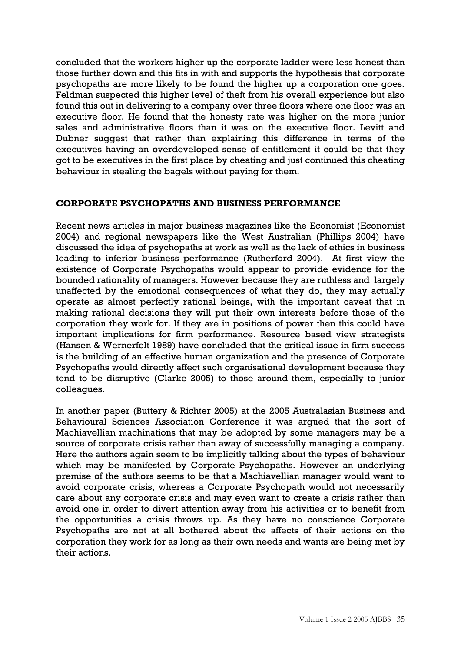concluded that the workers higher up the corporate ladder were less honest than those further down and this fits in with and supports the hypothesis that corporate psychopaths are more likely to be found the higher up a corporation one goes. Feldman suspected this higher level of theft from his overall experience but also found this out in delivering to a company over three floors where one floor was an executive floor. He found that the honesty rate was higher on the more junior sales and administrative floors than it was on the executive floor. Levitt and Dubner suggest that rather than explaining this difference in terms of the executives having an overdeveloped sense of entitlement it could be that they got to be executives in the first place by cheating and just continued this cheating behaviour in stealing the bagels without paying for them.

## **CORPORATE PSYCHOPATHS AND BUSINESS PERFORMANCE**

Recent news articles in major business magazines like the Economist (Economist 2004) and regional newspapers like the West Australian (Phillips 2004) have discussed the idea of psychopaths at work as well as the lack of ethics in business leading to inferior business performance (Rutherford 2004). At first view the existence of Corporate Psychopaths would appear to provide evidence for the bounded rationality of managers. However because they are ruthless and largely unaffected by the emotional consequences of what they do, they may actually operate as almost perfectly rational beings, with the important caveat that in making rational decisions they will put their own interests before those of the corporation they work for. If they are in positions of power then this could have important implications for firm performance. Resource based view strategists (Hansen & Wernerfelt 1989) have concluded that the critical issue in firm success is the building of an effective human organization and the presence of Corporate Psychopaths would directly affect such organisational development because they tend to be disruptive (Clarke 2005) to those around them, especially to junior colleagues.

In another paper (Buttery & Richter 2005) at the 2005 Australasian Business and Behavioural Sciences Association Conference it was argued that the sort of Machiavellian machinations that may be adopted by some managers may be a source of corporate crisis rather than away of successfully managing a company. Here the authors again seem to be implicitly talking about the types of behaviour which may be manifested by Corporate Psychopaths. However an underlying premise of the authors seems to be that a Machiavellian manager would want to avoid corporate crisis, whereas a Corporate Psychopath would not necessarily care about any corporate crisis and may even want to create a crisis rather than avoid one in order to divert attention away from his activities or to benefit from the opportunities a crisis throws up. As they have no conscience Corporate Psychopaths are not at all bothered about the affects of their actions on the corporation they work for as long as their own needs and wants are being met by their actions.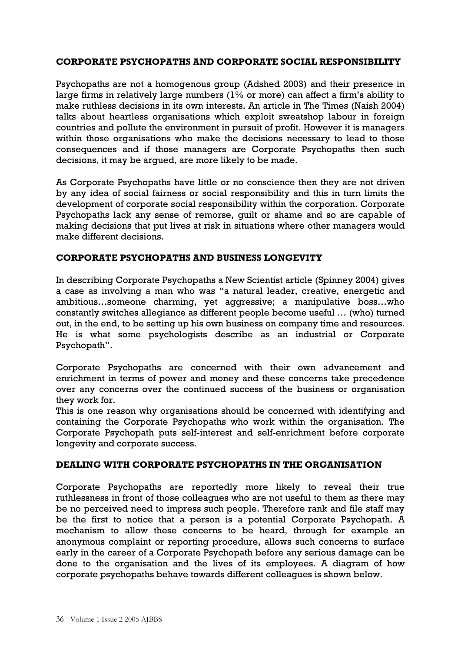# **CORPORATE PSYCHOPATHS AND CORPORATE SOCIAL RESPONSIBILITY**

Psychopaths are not a homogenous group (Adshed 2003) and their presence in large firms in relatively large numbers (1% or more) can affect a firm's ability to make ruthless decisions in its own interests. An article in The Times (Naish 2004) talks about heartless organisations which exploit sweatshop labour in foreign countries and pollute the environment in pursuit of profit. However it is managers within those organisations who make the decisions necessary to lead to those consequences and if those managers are Corporate Psychopaths then such decisions, it may be argued, are more likely to be made.

As Corporate Psychopaths have little or no conscience then they are not driven by any idea of social fairness or social responsibility and this in turn limits the development of corporate social responsibility within the corporation. Corporate Psychopaths lack any sense of remorse, guilt or shame and so are capable of making decisions that put lives at risk in situations where other managers would make different decisions.

## **CORPORATE PSYCHOPATHS AND BUSINESS LONGEVITY**

In describing Corporate Psychopaths a New Scientist article (Spinney 2004) gives a case as involving a man who was "a natural leader, creative, energetic and ambitious…someone charming, yet aggressive; a manipulative boss…who constantly switches allegiance as different people become useful … (who) turned out, in the end, to be setting up his own business on company time and resources. He is what some psychologists describe as an industrial or Corporate Psychopath".

Corporate Psychopaths are concerned with their own advancement and enrichment in terms of power and money and these concerns take precedence over any concerns over the continued success of the business or organisation they work for.

This is one reason why organisations should be concerned with identifying and containing the Corporate Psychopaths who work within the organisation. The Corporate Psychopath puts self-interest and self-enrichment before corporate longevity and corporate success.

#### **DEALING WITH CORPORATE PSYCHOPATHS IN THE ORGANISATION**

Corporate Psychopaths are reportedly more likely to reveal their true ruthlessness in front of those colleagues who are not useful to them as there may be no perceived need to impress such people. Therefore rank and file staff may be the first to notice that a person is a potential Corporate Psychopath. A mechanism to allow these concerns to be heard, through for example an anonymous complaint or reporting procedure, allows such concerns to surface early in the career of a Corporate Psychopath before any serious damage can be done to the organisation and the lives of its employees. A diagram of how corporate psychopaths behave towards different colleagues is shown below.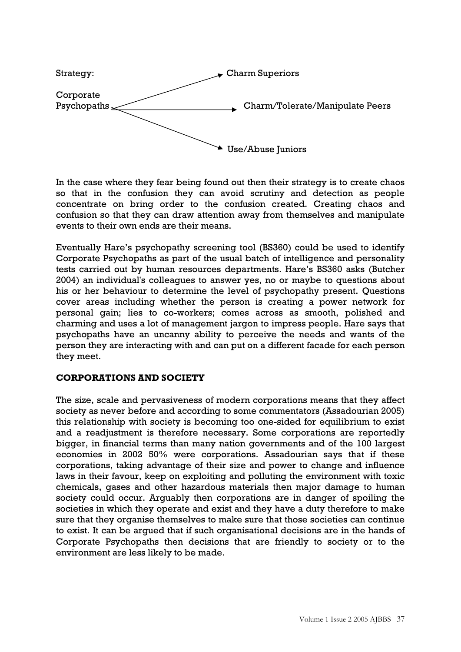

In the case where they fear being found out then their strategy is to create chaos so that in the confusion they can avoid scrutiny and detection as people concentrate on bring order to the confusion created. Creating chaos and confusion so that they can draw attention away from themselves and manipulate events to their own ends are their means.

Eventually Hare's psychopathy screening tool (BS360) could be used to identify Corporate Psychopaths as part of the usual batch of intelligence and personality tests carried out by human resources departments. Hare's BS360 asks (Butcher 2004) an individual's colleagues to answer yes, no or maybe to questions about his or her behaviour to determine the level of psychopathy present. Questions cover areas including whether the person is creating a power network for personal gain; lies to co-workers; comes across as smooth, polished and charming and uses a lot of management jargon to impress people. Hare says that psychopaths have an uncanny ability to perceive the needs and wants of the person they are interacting with and can put on a different facade for each person they meet.

# **CORPORATIONS AND SOCIETY**

The size, scale and pervasiveness of modern corporations means that they affect society as never before and according to some commentators (Assadourian 2005) this relationship with society is becoming too one-sided for equilibrium to exist and a readjustment is therefore necessary. Some corporations are reportedly bigger, in financial terms than many nation governments and of the 100 largest economies in 2002 50% were corporations. Assadourian says that if these corporations, taking advantage of their size and power to change and influence laws in their favour, keep on exploiting and polluting the environment with toxic chemicals, gases and other hazardous materials then major damage to human society could occur. Arguably then corporations are in danger of spoiling the societies in which they operate and exist and they have a duty therefore to make sure that they organise themselves to make sure that those societies can continue to exist. It can be argued that if such organisational decisions are in the hands of Corporate Psychopaths then decisions that are friendly to society or to the environment are less likely to be made.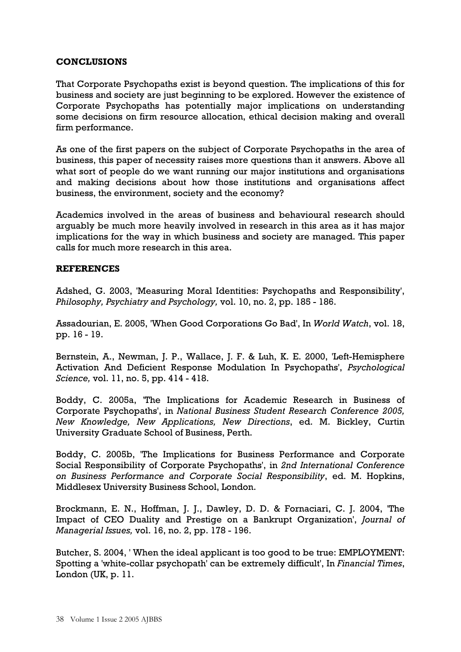# **CONCLUSIONS**

That Corporate Psychopaths exist is beyond question. The implications of this for business and society are just beginning to be explored. However the existence of Corporate Psychopaths has potentially major implications on understanding some decisions on firm resource allocation, ethical decision making and overall firm performance.

As one of the first papers on the subject of Corporate Psychopaths in the area of business, this paper of necessity raises more questions than it answers. Above all what sort of people do we want running our major institutions and organisations and making decisions about how those institutions and organisations affect business, the environment, society and the economy?

Academics involved in the areas of business and behavioural research should arguably be much more heavily involved in research in this area as it has major implications for the way in which business and society are managed. This paper calls for much more research in this area.

#### **REFERENCES**

Adshed, G. 2003, 'Measuring Moral Identities: Psychopaths and Responsibility', *Philosophy, Psychiatry and Psychology,* vol. 10, no. 2, pp. 185 - 186.

Assadourian, E. 2005, 'When Good Corporations Go Bad', In *World Watch*, vol. 18, pp. 16 - 19.

Bernstein, A., Newman, J. P., Wallace, J. F. & Luh, K. E. 2000, 'Left-Hemisphere Activation And Deficient Response Modulation In Psychopaths', *Psychological Science,* vol. 11, no. 5, pp. 414 - 418.

Boddy, C. 2005a, 'The Implications for Academic Research in Business of Corporate Psychopaths', in *National Business Student Research Conference 2005, New Knowledge, New Applications, New Directions*, ed. M. Bickley, Curtin University Graduate School of Business, Perth.

Boddy, C. 2005b, 'The Implications for Business Performance and Corporate Social Responsibility of Corporate Psychopaths', in *2nd International Conference on Business Performance and Corporate Social Responsibility*, ed. M. Hopkins, Middlesex University Business School, London.

Brockmann, E. N., Hoffman, J. J., Dawley, D. D. & Fornaciari, C. J. 2004, 'The Impact of CEO Duality and Prestige on a Bankrupt Organization', *Journal of Managerial Issues,* vol. 16, no. 2, pp. 178 - 196.

Butcher, S. 2004, ' When the ideal applicant is too good to be true: EMPLOYMENT: Spotting a 'white-collar psychopath' can be extremely difficult', In *Financial Times*, London (UK, p. 11.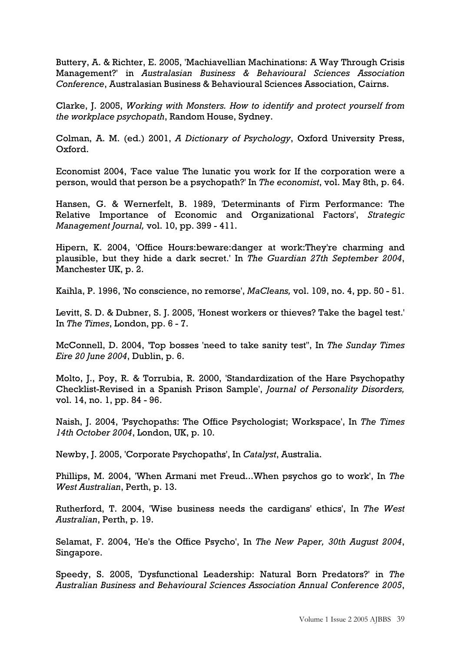Buttery, A. & Richter, E. 2005, 'Machiavellian Machinations: A Way Through Crisis Management?' in *Australasian Business & Behavioural Sciences Association Conference*, Australasian Business & Behavioural Sciences Association, Cairns.

Clarke, J. 2005, *Working with Monsters. How to identify and protect yourself from the workplace psychopath*, Random House, Sydney.

Colman, A. M. (ed.) 2001, *A Dictionary of Psychology*, Oxford University Press, Oxford.

Economist 2004, 'Face value The lunatic you work for If the corporation were a person, would that person be a psychopath?' In *The economist*, vol. May 8th, p. 64.

Hansen, G. & Wernerfelt, B. 1989, 'Determinants of Firm Performance: The Relative Importance of Economic and Organizational Factors', *Strategic Management Journal,* vol. 10, pp. 399 - 411.

Hipern, K. 2004, 'Office Hours:beware:danger at work:They're charming and plausible, but they hide a dark secret.' In *The Guardian 27th September 2004*, Manchester UK, p. 2.

Kaihla, P. 1996, 'No conscience, no remorse', *MaCleans,* vol. 109, no. 4, pp. 50 - 51.

Levitt, S. D. & Dubner, S. J. 2005, 'Honest workers or thieves? Take the bagel test.' In *The Times*, London, pp. 6 - 7.

McConnell, D. 2004, 'Top bosses 'need to take sanity test'', In *The Sunday Times Eire 20 June 2004*, Dublin, p. 6.

Molto, J., Poy, R. & Torrubia, R. 2000, 'Standardization of the Hare Psychopathy Checklist-Revised in a Spanish Prison Sample', *Journal of Personality Disorders,* vol. 14, no. 1, pp. 84 - 96.

Naish, J. 2004, 'Psychopaths: The Office Psychologist; Workspace', In *The Times 14th October 2004*, London, UK, p. 10.

Newby, J. 2005, 'Corporate Psychopaths', In *Catalyst*, Australia.

Phillips, M. 2004, 'When Armani met Freud...When psychos go to work', In *The West Australian*, Perth, p. 13.

Rutherford, T. 2004, 'Wise business needs the cardigans' ethics', In *The West Australian*, Perth, p. 19.

Selamat, F. 2004, 'He's the Office Psycho', In *The New Paper, 30th August 2004*, Singapore.

Speedy, S. 2005, 'Dysfunctional Leadership: Natural Born Predators?' in *The Australian Business and Behavioural Sciences Association Annual Conference 2005*,